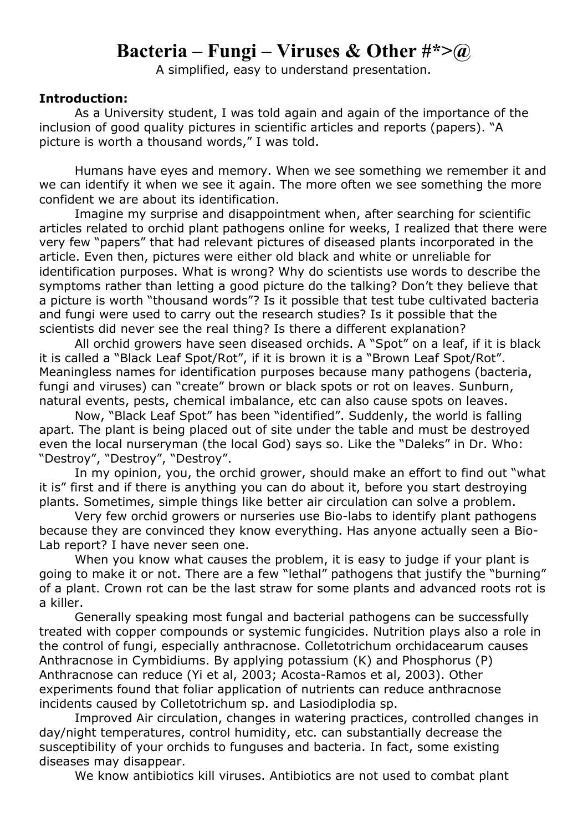## **Bacteria – Fungi – Viruses & Other #\*>@**

A simplified, easy to understand presentation.

## **Introduction:**

As a University student, I was told again and again of the importance of the inclusion of good quality pictures in scientific articles and reports (papers). "A picture is worth a thousand words," I was told.

Humans have eyes and memory. When we see something we remember it and we can identify it when we see it again. The more often we see something the more confident we are about its identification.

Imagine my surprise and disappointment when, after searching for scientific articles related to orchid plant pathogens online for weeks, I realized that there were very few "papers" that had relevant pictures of diseased plants incorporated in the article. Even then, pictures were either old black and white or unreliable for identification purposes. What is wrong? Why do scientists use words to describe the symptoms rather than letting a good picture do the talking? Don't they believe that a picture is worth "thousand words"? Is it possible that test tube cultivated bacteria and fungi were used to carry out the research studies? Is it possible that the scientists did never see the real thing? Is there a different explanation?

All orchid growers have seen diseased orchids. A "Spot" on a leaf, if it is black it is called a "Black Leaf Spot/Rot", if it is brown it is a "Brown Leaf Spot/Rot". Meaningless names for identification purposes because many pathogens (bacteria, fungi and viruses) can "create" brown or black spots or rot on leaves. Sunburn, natural events, pests, chemical imbalance, etc can also cause spots on leaves.

Now, "Black Leaf Spot" has been "identified". Suddenly, the world is falling apart. The plant is being placed out of site under the table and must be destroyed even the local nurseryman (the local God) says so. Like the "Daleks" in Dr. Who: "Destroy", "Destroy", "Destroy".

In my opinion, you, the orchid grower, should make an effort to find out "what it is" first and if there is anything you can do about it, before you start destroying plants. Sometimes, simple things like better air circulation can solve a problem.

Very few orchid growers or nurseries use Bio-labs to identify plant pathogens because they are convinced they know everything. Has anyone actually seen a Bio-Lab report? I have never seen one.

When you know what causes the problem, it is easy to judge if your plant is going to make it or not. There are a few "lethal" pathogens that justify the "burning" of a plant. Crown rot can be the last straw for some plants and advanced roots rot is a killer.

Generally speaking most fungal and bacterial pathogens can be successfully treated with copper compounds or systemic fungicides. Nutrition plays also a role in the control of fungi, especially anthracnose. Colletotrichum orchidacearum causes Anthracnose in Cymbidiums. By applying potassium (K) and Phosphorus (P) Anthracnose can reduce (Yi et al, 2003; Acosta-Ramos et al, 2003). Other experiments found that foliar application of nutrients can reduce anthracnose incidents caused by Colletotrichum sp. and Lasiodiplodia sp.

Improved Air circulation, changes in watering practices, controlled changes in day/night temperatures, control humidity, etc. can substantially decrease the susceptibility of your orchids to funguses and bacteria. In fact, some existing diseases may disappear.

We know antibiotics kill viruses. Antibiotics are not used to combat plant